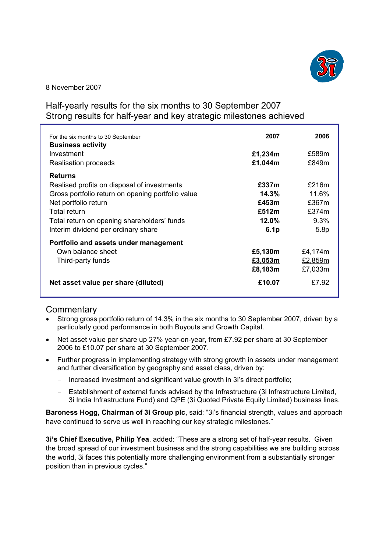

8 November 2007

# Half-yearly results for the six months to 30 September 2007 Strong results for half-year and key strategic milestones achieved

| For the six months to 30 September<br><b>Business activity</b><br>Investment<br><b>Realisation proceeds</b>                                                                                                                                             | 2007<br>£1,234m<br>£1,044m                              | 2006<br>£589m<br>£849m                                       |
|---------------------------------------------------------------------------------------------------------------------------------------------------------------------------------------------------------------------------------------------------------|---------------------------------------------------------|--------------------------------------------------------------|
| <b>Returns</b><br>Realised profits on disposal of investments<br>Gross portfolio return on opening portfolio value<br>Net portfolio return<br><b>Total return</b><br>Total return on opening shareholders' funds<br>Interim dividend per ordinary share | £337m<br>$14.3\%$<br>£453m<br>£512m<br>$12.0\%$<br>6.1p | £216m<br>11.6%<br>£367m<br>£374m<br>9.3%<br>5.8 <sub>p</sub> |
| Portfolio and assets under management<br>Own balance sheet<br>Third-party funds<br>Net asset value per share (diluted)                                                                                                                                  | £5,130m<br>£3,053m<br>£8,183m<br>£10.07                 | £4,174m<br>£2,859m<br>£7,033m<br>£7.92                       |

### **Commentary**

- Strong gross portfolio return of 14.3% in the six months to 30 September 2007, driven by a particularly good performance in both Buyouts and Growth Capital.
- Net asset value per share up 27% year-on-year, from £7.92 per share at 30 September 2006 to £10.07 per share at 30 September 2007.
- Further progress in implementing strategy with strong growth in assets under management and further diversification by geography and asset class, driven by:
	- Increased investment and significant value growth in 3i's direct portfolio;
	- Establishment of external funds advised by the Infrastructure (3i Infrastructure Limited, 3i India Infrastructure Fund) and QPE (3i Quoted Private Equity Limited) business lines.

**Baroness Hogg, Chairman of 3i Group plc**, said: "3i's financial strength, values and approach have continued to serve us well in reaching our key strategic milestones."

**3i's Chief Executive, Philip Yea**, added: "These are a strong set of half-year results. Given the broad spread of our investment business and the strong capabilities we are building across the world, 3i faces this potentially more challenging environment from a substantially stronger position than in previous cycles."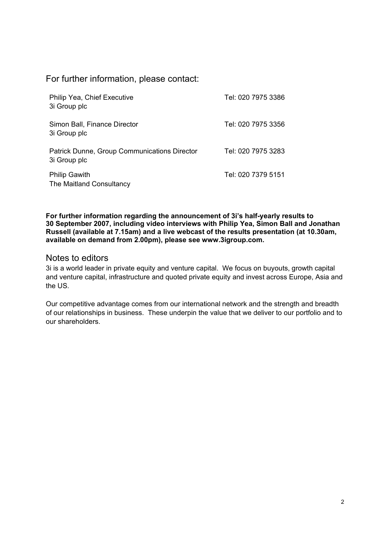For further information, please contact:

| Philip Yea, Chief Executive<br>3i Group plc                  | Tel: 020 7975 3386 |
|--------------------------------------------------------------|--------------------|
| Simon Ball, Finance Director<br>3i Group plc                 | Tel: 020 7975 3356 |
| Patrick Dunne, Group Communications Director<br>3i Group plc | Tel: 020 7975 3283 |
| <b>Philip Gawith</b><br>The Maitland Consultancy             | Tel: 020 7379 5151 |

**For further information regarding the announcement of 3i's half-yearly results to 30 September 2007, including video interviews with Philip Yea, Simon Ball and Jonathan Russell (available at 7.15am) and a live webcast of the results presentation (at 10.30am, available on demand from 2.00pm), please see www.3igroup.com.**

### Notes to editors

3i is a world leader in private equity and venture capital. We focus on buyouts, growth capital and venture capital, infrastructure and quoted private equity and invest across Europe, Asia and the US.

Our competitive advantage comes from our international network and the strength and breadth of our relationships in business. These underpin the value that we deliver to our portfolio and to our shareholders.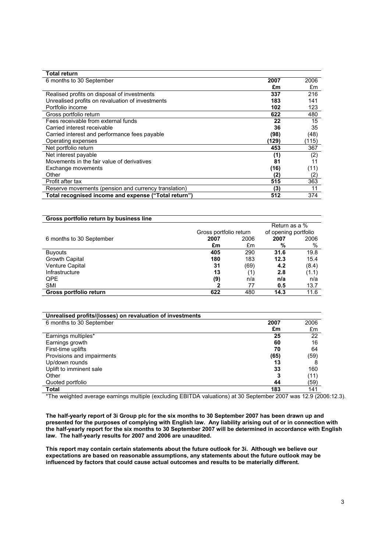| Total return                                         |       |       |
|------------------------------------------------------|-------|-------|
| 6 months to 30 September                             | 2007  | 2006  |
|                                                      | £m    | £m    |
| Realised profits on disposal of investments          | 337   | 216   |
| Unrealised profits on revaluation of investments     | 183   | 141   |
| Portfolio income                                     | 102   | 123   |
| Gross portfolio return                               | 622   | 480   |
| Fees receivable from external funds                  | 22    | 15    |
| Carried interest receivable                          | 36    | 35    |
| Carried interest and performance fees payable        | (98)  | (48)  |
| Operating expenses                                   | (129) | (115) |
| Net portfolio return                                 | 453   | 367   |
| Net interest payable                                 | (1)   | (2)   |
| Movements in the fair value of derivatives           | 81    | 11    |
| Exchange movements                                   | (16)  | (11)  |
| Other                                                | (2    | (2)   |
| Profit after tax                                     | 515   | 363   |
| Reserve movements (pension and currency translation) | (3)   | 11    |
| Total recognised income and expense ("Total return") | 512   | 374   |

| Gross portfolio return by business line |                        |      |                      |       |  |
|-----------------------------------------|------------------------|------|----------------------|-------|--|
|                                         | Return as a %          |      |                      |       |  |
|                                         | Gross portfolio return |      | of opening portfolio |       |  |
| 6 months to 30 September                | 2007                   | 2006 | 2007                 | 2006  |  |
|                                         | £m                     | £m   | %                    | %     |  |
| <b>Buyouts</b>                          | 405                    | 290  | 31.6                 | 19.8  |  |
| Growth Capital                          | 180                    | 183  | 12.3                 | 15.4  |  |
| <b>Venture Capital</b>                  | 31                     | (69) | 4.2                  | (8.4) |  |
| Infrastructure                          | 13                     | (1)  | 2.8                  | (1.1) |  |
| <b>QPE</b>                              | (9)                    | n/a  | n/a                  | n/a   |  |
| <b>SMI</b>                              |                        | 77   | 0.5                  | 13.7  |  |
| Gross portfolio return                  | 622                    | 480  | 14.3                 | 11.6  |  |

| Unrealised profits/(losses) on revaluation of investments |      |      |
|-----------------------------------------------------------|------|------|
| 6 months to 30 September                                  | 2007 | 2006 |
|                                                           | £m   | £m   |
| Earnings multiples*                                       | 25   | 22   |
| Earnings growth                                           | 60   | 16   |
| First-time uplifts                                        | 70   | 64   |
| Provisions and impairments                                | (65) | (59) |
| Up/down rounds                                            | 13   |      |
| Uplift to imminent sale                                   | 33   | 160  |
| Other                                                     |      | (11) |
| Quoted portfolio                                          | 44   | (59) |
| Total                                                     | 183  | 141  |

\*The weighted average earnings multiple (excluding EBITDA valuations) at 30 September 2007 was 12.9 (2006:12.3).

**The half-yearly report of 3i Group plc for the six months to 30 September 2007 has been drawn up and presented for the purposes of complying with English law. Any liability arising out of or in connection with the half-yearly report for the six months to 30 September 2007 will be determined in accordance with English law. The half-yearly results for 2007 and 2006 are unaudited.** 

**This report may contain certain statements about the future outlook for 3i. Although we believe our expectations are based on reasonable assumptions, any statements about the future outlook may be influenced by factors that could cause actual outcomes and results to be materially different.**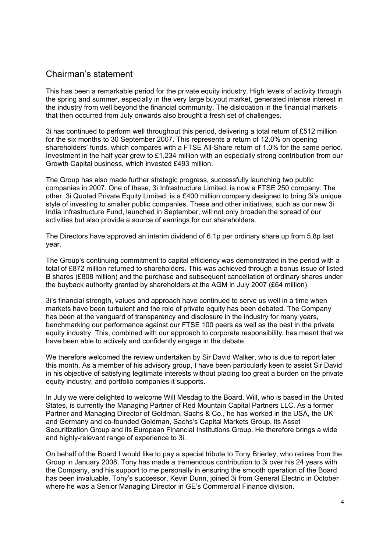### Chairman's statement

This has been a remarkable period for the private equity industry. High levels of activity through the spring and summer, especially in the very large buyout market, generated intense interest in the industry from well beyond the financial community. The dislocation in the financial markets that then occurred from July onwards also brought a fresh set of challenges.

3i has continued to perform well throughout this period, delivering a total return of £512 million for the six months to 30 September 2007. This represents a return of 12.0% on opening shareholders' funds, which compares with a FTSE All-Share return of 1.0% for the same period. Investment in the half year grew to £1,234 million with an especially strong contribution from our Growth Capital business, which invested £493 million.

The Group has also made further strategic progress, successfully launching two public companies in 2007. One of these, 3i Infrastructure Limited, is now a FTSE 250 company. The other, 3i Quoted Private Equity Limited, is a £400 million company designed to bring 3i's unique style of investing to smaller public companies. These and other initiatives, such as our new 3i India Infrastructure Fund, launched in September, will not only broaden the spread of our activities but also provide a source of earnings for our shareholders.

The Directors have approved an interim dividend of 6.1p per ordinary share up from 5.8p last year.

The Group's continuing commitment to capital efficiency was demonstrated in the period with a total of £872 million returned to shareholders. This was achieved through a bonus issue of listed B shares (£808 million) and the purchase and subsequent cancellation of ordinary shares under the buyback authority granted by shareholders at the AGM in July 2007 (£64 million).

3i's financial strength, values and approach have continued to serve us well in a time when markets have been turbulent and the role of private equity has been debated. The Company has been at the vanguard of transparency and disclosure in the industry for many years, benchmarking our performance against our FTSE 100 peers as well as the best in the private equity industry. This, combined with our approach to corporate responsibility, has meant that we have been able to actively and confidently engage in the debate.

We therefore welcomed the review undertaken by Sir David Walker, who is due to report later this month. As a member of his advisory group, I have been particularly keen to assist Sir David in his objective of satisfying legitimate interests without placing too great a burden on the private equity industry, and portfolio companies it supports.

In July we were delighted to welcome Will Mesdag to the Board. Will, who is based in the United States, is currently the Managing Partner of Red Mountain Capital Partners LLC. As a former Partner and Managing Director of Goldman, Sachs & Co., he has worked in the USA, the UK and Germany and co-founded Goldman, Sachs's Capital Markets Group, its Asset Securitization Group and its European Financial Institutions Group. He therefore brings a wide and highly-relevant range of experience to 3i.

On behalf of the Board I would like to pay a special tribute to Tony Brierley, who retires from the Group in January 2008. Tony has made a tremendous contribution to 3i over his 24 years with the Company, and his support to me personally in ensuring the smooth operation of the Board has been invaluable. Tony's successor, Kevin Dunn, joined 3i from General Electric in October where he was a Senior Managing Director in GE's Commercial Finance division.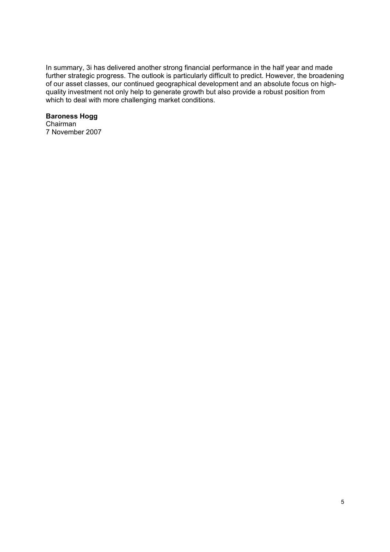In summary, 3i has delivered another strong financial performance in the half year and made further strategic progress. The outlook is particularly difficult to predict. However, the broadening of our asset classes, our continued geographical development and an absolute focus on highquality investment not only help to generate growth but also provide a robust position from which to deal with more challenging market conditions.

#### **Baroness Hogg**

Chairman 7 November 2007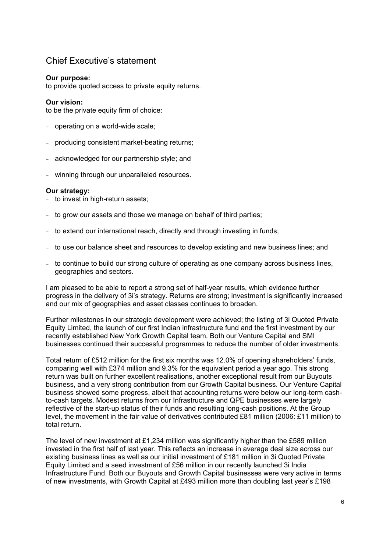## Chief Executive's statement

#### **Our purpose:**

to provide quoted access to private equity returns.

#### **Our vision:**

to be the private equity firm of choice:

- operating on a world-wide scale;
- producing consistent market-beating returns;
- acknowledged for our partnership style; and
- winning through our unparalleled resources.

#### **Our strategy:**

- to invest in high-return assets;
- to grow our assets and those we manage on behalf of third parties;
- to extend our international reach, directly and through investing in funds;
- to use our balance sheet and resources to develop existing and new business lines; and
- to continue to build our strong culture of operating as one company across business lines, geographies and sectors.

I am pleased to be able to report a strong set of half-year results, which evidence further progress in the delivery of 3i's strategy. Returns are strong; investment is significantly increased and our mix of geographies and asset classes continues to broaden.

Further milestones in our strategic development were achieved; the listing of 3i Quoted Private Equity Limited, the launch of our first Indian infrastructure fund and the first investment by our recently established New York Growth Capital team. Both our Venture Capital and SMI businesses continued their successful programmes to reduce the number of older investments.

Total return of £512 million for the first six months was 12.0% of opening shareholders' funds, comparing well with £374 million and 9.3% for the equivalent period a year ago. This strong return was built on further excellent realisations, another exceptional result from our Buyouts business, and a very strong contribution from our Growth Capital business. Our Venture Capital business showed some progress, albeit that accounting returns were below our long-term cashto-cash targets. Modest returns from our Infrastructure and QPE businesses were largely reflective of the start-up status of their funds and resulting long-cash positions. At the Group level, the movement in the fair value of derivatives contributed £81 million (2006: £11 million) to total return.

The level of new investment at £1,234 million was significantly higher than the £589 million invested in the first half of last year. This reflects an increase in average deal size across our existing business lines as well as our initial investment of £181 million in 3i Quoted Private Equity Limited and a seed investment of £56 million in our recently launched 3i India Infrastructure Fund. Both our Buyouts and Growth Capital businesses were very active in terms of new investments, with Growth Capital at £493 million more than doubling last year's £198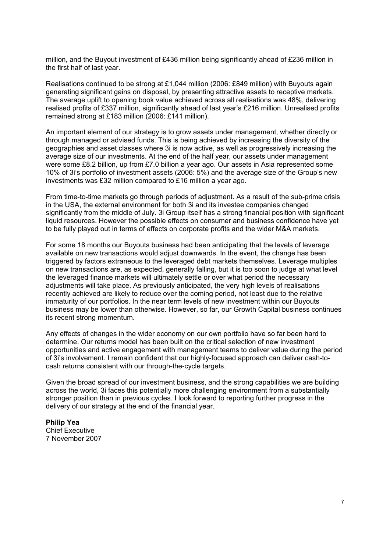million, and the Buyout investment of £436 million being significantly ahead of £236 million in the first half of last year.

Realisations continued to be strong at £1,044 million (2006: £849 million) with Buyouts again generating significant gains on disposal, by presenting attractive assets to receptive markets. The average uplift to opening book value achieved across all realisations was 48%, delivering realised profits of £337 million, significantly ahead of last year's £216 million. Unrealised profits remained strong at £183 million (2006: £141 million).

An important element of our strategy is to grow assets under management, whether directly or through managed or advised funds. This is being achieved by increasing the diversity of the geographies and asset classes where 3i is now active, as well as progressively increasing the average size of our investments. At the end of the half year, our assets under management were some £8.2 billion, up from £7.0 billion a year ago. Our assets in Asia represented some 10% of 3i's portfolio of investment assets (2006: 5%) and the average size of the Group's new investments was £32 million compared to £16 million a year ago.

From time-to-time markets go through periods of adjustment. As a result of the sub-prime crisis in the USA, the external environment for both 3i and its investee companies changed significantly from the middle of July. 3i Group itself has a strong financial position with significant liquid resources. However the possible effects on consumer and business confidence have yet to be fully played out in terms of effects on corporate profits and the wider M&A markets.

For some 18 months our Buyouts business had been anticipating that the levels of leverage available on new transactions would adjust downwards. In the event, the change has been triggered by factors extraneous to the leveraged debt markets themselves. Leverage multiples on new transactions are, as expected, generally falling, but it is too soon to judge at what level the leveraged finance markets will ultimately settle or over what period the necessary adjustments will take place. As previously anticipated, the very high levels of realisations recently achieved are likely to reduce over the coming period, not least due to the relative immaturity of our portfolios. In the near term levels of new investment within our Buyouts business may be lower than otherwise. However, so far, our Growth Capital business continues its recent strong momentum.

Any effects of changes in the wider economy on our own portfolio have so far been hard to determine. Our returns model has been built on the critical selection of new investment opportunities and active engagement with management teams to deliver value during the period of 3i's involvement. I remain confident that our highly-focused approach can deliver cash-tocash returns consistent with our through-the-cycle targets.

Given the broad spread of our investment business, and the strong capabilities we are building across the world, 3i faces this potentially more challenging environment from a substantially stronger position than in previous cycles. I look forward to reporting further progress in the delivery of our strategy at the end of the financial year.

**Philip Yea**  Chief Executive 7 November 2007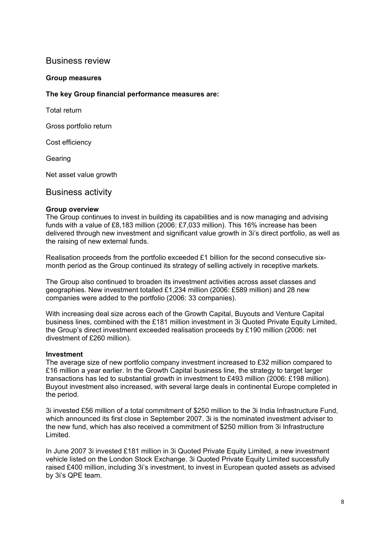### Business review

#### **Group measures**

#### **The key Group financial performance measures are:**

Total return

Gross portfolio return

Cost efficiency

Gearing

Net asset value growth

Business activity

#### **Group overview**

The Group continues to invest in building its capabilities and is now managing and advising funds with a value of £8,183 million (2006: £7,033 million). This 16% increase has been delivered through new investment and significant value growth in 3i's direct portfolio, as well as the raising of new external funds.

Realisation proceeds from the portfolio exceeded  $£1$  billion for the second consecutive sixmonth period as the Group continued its strategy of selling actively in receptive markets.

The Group also continued to broaden its investment activities across asset classes and geographies. New investment totalled £1,234 million (2006: £589 million) and 28 new companies were added to the portfolio (2006: 33 companies).

With increasing deal size across each of the Growth Capital, Buyouts and Venture Capital business lines, combined with the £181 million investment in 3i Quoted Private Equity Limited, the Group's direct investment exceeded realisation proceeds by £190 million (2006: net divestment of £260 million).

#### **Investment**

The average size of new portfolio company investment increased to £32 million compared to £16 million a year earlier. In the Growth Capital business line, the strategy to target larger transactions has led to substantial growth in investment to £493 million (2006: £198 million). Buyout investment also increased, with several large deals in continental Europe completed in the period.

3i invested £56 million of a total commitment of \$250 million to the 3i India Infrastructure Fund, which announced its first close in September 2007. 3i is the nominated investment adviser to the new fund, which has also received a commitment of \$250 million from 3i Infrastructure Limited.

In June 2007 3i invested £181 million in 3i Quoted Private Equity Limited, a new investment vehicle listed on the London Stock Exchange. 3i Quoted Private Equity Limited successfully raised £400 million, including 3i's investment, to invest in European quoted assets as advised by 3i's QPE team.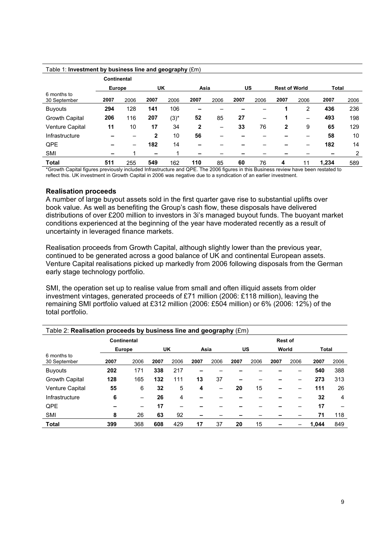| Table 1: Investment by business line and geography (£m) |             |      |      |           |              |                          |      |                          |                      |      |              |      |
|---------------------------------------------------------|-------------|------|------|-----------|--------------|--------------------------|------|--------------------------|----------------------|------|--------------|------|
|                                                         | Continental |      |      |           |              |                          |      |                          |                      |      |              |      |
|                                                         | Europe      |      | UK   |           | Asia         |                          | US   |                          | <b>Rest of World</b> |      | <b>Total</b> |      |
| 6 months to<br>30 September                             | 2007        | 2006 | 2007 | 2006      | 2007         | 2006                     | 2007 | 2006                     | 2007                 | 2006 | 2007         | 2006 |
| <b>Buyouts</b>                                          | 294         | 128  | 141  | 106       |              |                          |      |                          |                      | 2    | 436          | 236  |
| Growth Capital                                          | 206         | 116  | 207  | $(3)^{*}$ | 52           | 85                       | 27   | $\overline{\phantom{0}}$ |                      | -    | 493          | 198  |
| <b>Venture Capital</b>                                  | 11          | 10   | 17   | 34        | $\mathbf{2}$ | $\overline{\phantom{0}}$ | 33   | 76                       | $\mathbf{2}$         | 9    | 65           | 129  |
| Infrastructure                                          |             |      | 2    | 10        | 56           |                          |      |                          |                      |      | 58           | 10   |
| QPE                                                     |             | -    | 182  | 14        | -            |                          |      |                          |                      |      | 182          | 14   |
| <b>SMI</b>                                              |             |      | -    |           | -            |                          |      |                          |                      |      |              | 2    |
| <b>Total</b>                                            | 511         | 255  | 549  | 162       | 110          | 85                       | 60   | 76                       | 4                    | 11   | 1.234        | 589  |

\*Growth Capital figures previously included Infrastructure and QPE. The 2006 figures in this Business review have been restated to reflect this. UK investment in Growth Capital in 2006 was negative due to a syndication of an earlier investment.

#### **Realisation proceeds**

A number of large buyout assets sold in the first quarter gave rise to substantial uplifts over book value. As well as benefiting the Group's cash flow, these disposals have delivered distributions of over £200 million to investors in 3i's managed buyout funds. The buoyant market conditions experienced at the beginning of the year have moderated recently as a result of uncertainty in leveraged finance markets.

Realisation proceeds from Growth Capital, although slightly lower than the previous year, continued to be generated across a good balance of UK and continental European assets. Venture Capital realisations picked up markedly from 2006 following disposals from the German early stage technology portfolio.

SMI, the operation set up to realise value from small and often illiquid assets from older investment vintages, generated proceeds of £71 million (2006: £118 million), leaving the remaining SMI portfolio valued at £312 million (2006: £504 million) or 6% (2006: 12%) of the total portfolio.

| Table 2: Realisation proceeds by business line and geography (£m) |               |                              |      |      |      |      |      |                |       |      |              |      |
|-------------------------------------------------------------------|---------------|------------------------------|------|------|------|------|------|----------------|-------|------|--------------|------|
|                                                                   | Continental   |                              |      |      |      |      |      | <b>Rest of</b> |       |      |              |      |
|                                                                   | <b>Europe</b> |                              | UK   |      | Asia |      | US   |                | World |      | <b>Total</b> |      |
| 6 months to<br>30 September                                       | 2007          | 2006                         | 2007 | 2006 | 2007 | 2006 | 2007 | 2006           | 2007  | 2006 | 2007         | 2006 |
| <b>Buyouts</b>                                                    | 202           | 171                          | 338  | 217  |      |      |      |                |       |      | 540          | 388  |
| <b>Growth Capital</b>                                             | 128           | 165                          | 132  | 111  | 13   | 37   | -    |                |       |      | 273          | 313  |
| <b>Venture Capital</b>                                            | 55            | 6                            | 32   | 5    | 4    | -    | 20   | 15             |       | -    | 111          | 26   |
| Infrastructure                                                    | 6             | -                            | 26   | 4    |      |      |      |                |       |      | 32           | 4    |
| QPE                                                               |               | $\qquad \qquad \blacksquare$ | 17   |      |      |      |      |                |       |      | 17           |      |
| <b>SMI</b>                                                        | 8             | 26                           | 63   | 92   |      |      |      |                |       |      | 71           | 118  |
| <b>Total</b>                                                      | 399           | 368                          | 608  | 429  | 17   | 37   | 20   | 15             |       |      | 1.044        | 849  |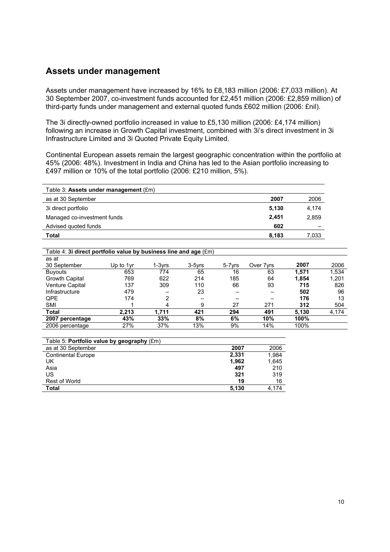### **Assets under management**

Assets under management have increased by 16% to £8,183 million (2006: £7,033 million). At 30 September 2007, co-investment funds accounted for £2,451 million (2006: £2,859 million) of third-party funds under management and external quoted funds £602 million (2006: £nil).

The 3i directly-owned portfolio increased in value to £5,130 million (2006: £4,174 million) following an increase in Growth Capital investment, combined with 3i's direct investment in 3i Infrastructure Limited and 3i Quoted Private Equity Limited.

Continental European assets remain the largest geographic concentration within the portfolio at 45% (2006: 48%). Investment in India and China has led to the Asian portfolio increasing to £497 million or 10% of the total portfolio (2006: £210 million, 5%).

| Table 3: Assets under management $(\text{Em})$ |       |       |
|------------------------------------------------|-------|-------|
| as at 30 September                             | 2007  | 2006  |
| 3i direct portfolio                            | 5.130 | 4,174 |
| Managed co-investment funds                    | 2.451 | 2,859 |
| Advised guoted funds                           | 602   |       |
| <b>Total</b>                                   | 8.183 | 7.033 |

| Table 4: 3i direct portfolio value by business line and age (£m) |           |           |           |         |           |       |       |
|------------------------------------------------------------------|-----------|-----------|-----------|---------|-----------|-------|-------|
| as at                                                            |           |           |           |         |           |       |       |
| 30 September                                                     | Up to 1yr | $1-3$ vrs | $3-5$ vrs | 5-7 vrs | Over 7yrs | 2007  | 2006  |
| <b>Buyouts</b>                                                   | 653       | 774       | 65        | 16      | 63        | 1,571 | 1,534 |
| Growth Capital                                                   | 769       | 622       | 214       | 185     | 64        | 1.854 | 1.201 |
| <b>Venture Capital</b>                                           | 137       | 309       | 110       | 66      | 93        | 715   | 826   |
| Infrastructure                                                   | 479       |           | 23        |         |           | 502   | 96    |
| QPE                                                              | 174       | 2         |           |         |           | 176   | 13    |
| SMI                                                              |           | 4         | 9         | 27      | 271       | 312   | 504   |
| <b>Total</b>                                                     | 2.213     | 1.711     | 421       | 294     | 491       | 5,130 | 4,174 |
| 2007 percentage                                                  | 43%       | 33%       | 8%        | 6%      | 10%       | 100%  |       |
| 2006 percentage                                                  | 27%       | 37%       | 13%       | 9%      | 14%       | 100%  |       |

| Table 5: Portfolio value by geography (£m) |       |       |
|--------------------------------------------|-------|-------|
| as at 30 September                         | 2007  | 2006  |
| <b>Continental Europe</b>                  | 2.331 | 1,984 |
| UK                                         | 1.962 | 1,645 |
| Asia                                       | 497   | 210   |
| US                                         | 321   | 319   |
| Rest of World                              | 19    | 16    |
| Total                                      | 5.130 | 4.174 |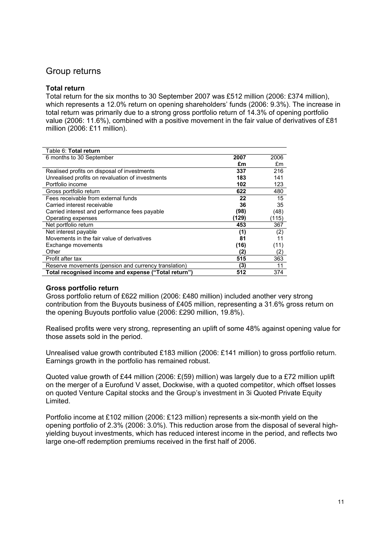### Group returns

#### **Total return**

Total return for the six months to 30 September 2007 was £512 million (2006: £374 million), which represents a 12.0% return on opening shareholders' funds (2006: 9.3%). The increase in total return was primarily due to a strong gross portfolio return of 14.3% of opening portfolio value (2006: 11.6%), combined with a positive movement in the fair value of derivatives of £81 million (2006: £11 million).

| Table 6: Total return                                |       |       |
|------------------------------------------------------|-------|-------|
| 6 months to 30 September                             | 2007  | 2006  |
|                                                      | £m    | £m    |
| Realised profits on disposal of investments          | 337   | 216   |
| Unrealised profits on revaluation of investments     | 183   | 141   |
| Portfolio income                                     | 102   | 123   |
| Gross portfolio return                               | 622   | 480   |
| Fees receivable from external funds                  | 22    | 15    |
| Carried interest receivable                          | 36    | 35    |
| Carried interest and performance fees payable        | (98)  | (48)  |
| Operating expenses                                   | (129) | (115) |
| Net portfolio return                                 | 453   | 367   |
| Net interest payable                                 | (1)   | (2)   |
| Movements in the fair value of derivatives           | 81    | 11    |
| Exchange movements                                   | (16)  | (11)  |
| Other                                                | (2)   | (2)   |
| Profit after tax                                     | 515   | 363   |
| Reserve movements (pension and currency translation) | (3)   | 11    |
| Total recognised income and expense ("Total return") | 512   | 374   |

#### **Gross portfolio return**

Gross portfolio return of £622 million (2006: £480 million) included another very strong contribution from the Buyouts business of £405 million, representing a 31.6% gross return on the opening Buyouts portfolio value (2006: £290 million, 19.8%).

Realised profits were very strong, representing an uplift of some 48% against opening value for those assets sold in the period.

Unrealised value growth contributed £183 million (2006: £141 million) to gross portfolio return. Earnings growth in the portfolio has remained robust.

Quoted value growth of £44 million (2006: £(59) million) was largely due to a £72 million uplift on the merger of a Eurofund V asset, Dockwise, with a quoted competitor, which offset losses on quoted Venture Capital stocks and the Group's investment in 3i Quoted Private Equity Limited.

Portfolio income at £102 million (2006: £123 million) represents a six-month yield on the opening portfolio of 2.3% (2006: 3.0%). This reduction arose from the disposal of several highyielding buyout investments, which has reduced interest income in the period, and reflects two large one-off redemption premiums received in the first half of 2006.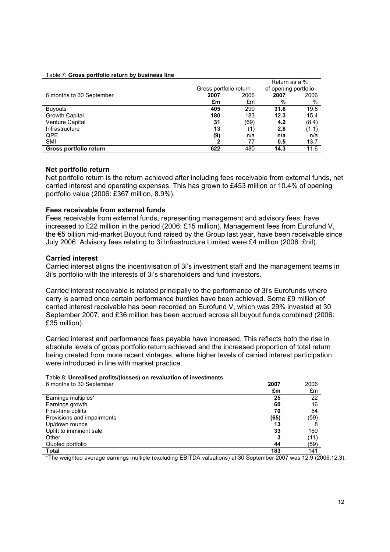| Table 7: Gross portfolio return by business line |                        |      |                      |       |
|--------------------------------------------------|------------------------|------|----------------------|-------|
|                                                  | Return as a %          |      |                      |       |
|                                                  | Gross portfolio return |      | of opening portfolio |       |
| 6 months to 30 September                         | 2007                   | 2006 | 2007                 | 2006  |
|                                                  | £m                     | £m   | %                    | $\%$  |
| <b>Buyouts</b>                                   | 405                    | 290  | 31.6                 | 19.8  |
| Growth Capital                                   | 180                    | 183  | 12.3                 | 15.4  |
| <b>Venture Capital</b>                           | 31                     | (69) | 4.2                  | (8.4) |
| Infrastructure                                   | 13                     | (1)  | 2.8                  | (1.1) |
| <b>QPE</b>                                       | (9)                    | n/a  | n/a                  | n/a   |
| <b>SMI</b>                                       |                        | 77   | 0.5                  | 13.7  |
| Gross portfolio return                           | 622                    | 480  | 14.3                 | 11.6  |

#### **Net portfolio return**

Net portfolio return is the return achieved after including fees receivable from external funds, net carried interest and operating expenses. This has grown to £453 million or 10.4% of opening portfolio value (2006: £367 million, 8.9%).

#### **Fees receivable from external funds**

Fees receivable from external funds, representing management and advisory fees, have increased to £22 million in the period (2006: £15 million). Management fees from Eurofund V, the €5 billion mid-market Buyout fund raised by the Group last year, have been receivable since July 2006. Advisory fees relating to 3i Infrastructure Limited were £4 million (2006: £nil).

#### **Carried interest**

Carried interest aligns the incentivisation of 3i's investment staff and the management teams in 3i's portfolio with the interests of 3i's shareholders and fund investors.

Carried interest receivable is related principally to the performance of 3i's Eurofunds where carry is earned once certain performance hurdles have been achieved. Some £9 million of carried interest receivable has been recorded on Eurofund V, which was 29% invested at 30 September 2007, and £36 million has been accrued across all buyout funds combined (2006: £35 million).

Carried interest and performance fees payable have increased. This reflects both the rise in absolute levels of gross portfolio return achieved and the increased proportion of total return being created from more recent vintages, where higher levels of carried interest participation were introduced in line with market practice.

| Table 8: Unrealised profits/(losses) on revaluation of investments |      |      |
|--------------------------------------------------------------------|------|------|
| 6 months to 30 September                                           | 2007 | 2006 |
|                                                                    | £m   | £m   |
| Earnings multiples*                                                | 25   | 22   |
| Earnings growth                                                    | 60   | 16   |
| First-time uplifts                                                 | 70   | 64   |
| Provisions and impairments                                         | (65) | (59) |
| Up/down rounds                                                     | 13   |      |
| Uplift to imminent sale                                            | 33   | 160  |
| Other                                                              |      | (11) |
| Quoted portfolio                                                   | 44   | (59) |
| Total                                                              | 183  | 141  |

\*The weighted average earnings multiple (excluding EBITDA valuations) at 30 September 2007 was 12.9 (2006:12.3).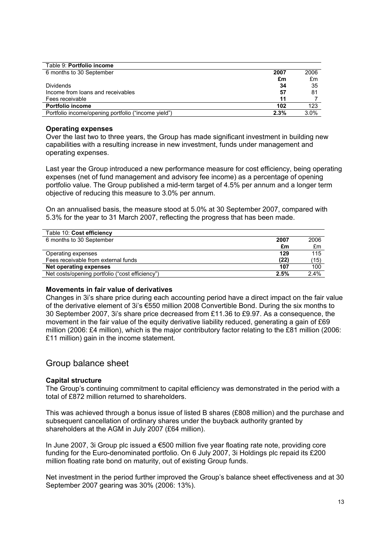| Table 9: Portfolio income                           |      |      |
|-----------------------------------------------------|------|------|
| 6 months to 30 September                            | 2007 | 2006 |
|                                                     | £m   | £m   |
| Dividends                                           | 34   | 35   |
| Income from loans and receivables                   | 57   | 81   |
| Fees receivable                                     | 11   |      |
| <b>Portfolio income</b>                             | 102  | 123  |
| Portfolio income/opening portfolio ("income yield") | 2.3% | 3.0% |

#### **Operating expenses**

Over the last two to three years, the Group has made significant investment in building new capabilities with a resulting increase in new investment, funds under management and operating expenses.

Last year the Group introduced a new performance measure for cost efficiency, being operating expenses (net of fund management and advisory fee income) as a percentage of opening portfolio value. The Group published a mid-term target of 4.5% per annum and a longer term objective of reducing this measure to 3.0% per annum.

On an annualised basis, the measure stood at 5.0% at 30 September 2007, compared with 5.3% for the year to 31 March 2007, reflecting the progress that has been made.

| Table 10: Cost efficiency                       |      |      |
|-------------------------------------------------|------|------|
| 6 months to 30 September                        | 2007 | 2006 |
|                                                 | £m   | £m   |
| Operating expenses                              | 129  | 115  |
| Fees receivable from external funds             | (22) | (15) |
| Net operating expenses                          | 107  | 100  |
| Net costs/opening portfolio ("cost efficiency") | 2.5% | 2.4% |

#### **Movements in fair value of derivatives**

Changes in 3i's share price during each accounting period have a direct impact on the fair value of the derivative element of 3i's €550 million 2008 Convertible Bond. During the six months to 30 September 2007, 3i's share price decreased from £11.36 to £9.97. As a consequence, the movement in the fair value of the equity derivative liability reduced, generating a gain of £69 million (2006: £4 million), which is the major contributory factor relating to the £81 million (2006: £11 million) gain in the income statement.

#### Group balance sheet

#### **Capital structure**

The Group's continuing commitment to capital efficiency was demonstrated in the period with a total of £872 million returned to shareholders.

This was achieved through a bonus issue of listed B shares (£808 million) and the purchase and subsequent cancellation of ordinary shares under the buyback authority granted by shareholders at the AGM in July 2007 (£64 million).

In June 2007, 3i Group plc issued a €500 million five year floating rate note, providing core funding for the Euro-denominated portfolio. On 6 July 2007, 3i Holdings plc repaid its £200 million floating rate bond on maturity, out of existing Group funds.

Net investment in the period further improved the Group's balance sheet effectiveness and at 30 September 2007 gearing was 30% (2006: 13%).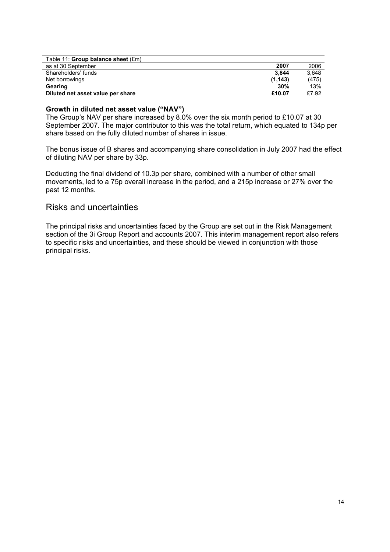| Table 11: Group balance sheet $(\text{Em})$ |         |       |
|---------------------------------------------|---------|-------|
| as at 30 September                          | 2007    | 2006  |
| Shareholders' funds                         | 3.844   | 3.648 |
| Net borrowings                              | (1.143) | (475) |
| Gearing                                     | 30%     | 13%   |
| Diluted net asset value per share           | £10.07  | £7.92 |

#### **Growth in diluted net asset value ("NAV")**

The Group's NAV per share increased by 8.0% over the six month period to £10.07 at 30 September 2007. The major contributor to this was the total return, which equated to 134p per share based on the fully diluted number of shares in issue.

The bonus issue of B shares and accompanying share consolidation in July 2007 had the effect of diluting NAV per share by 33p.

Deducting the final dividend of 10.3p per share, combined with a number of other small movements, led to a 75p overall increase in the period, and a 215p increase or 27% over the past 12 months.

### Risks and uncertainties

The principal risks and uncertainties faced by the Group are set out in the Risk Management section of the 3i Group Report and accounts 2007. This interim management report also refers to specific risks and uncertainties, and these should be viewed in conjunction with those principal risks.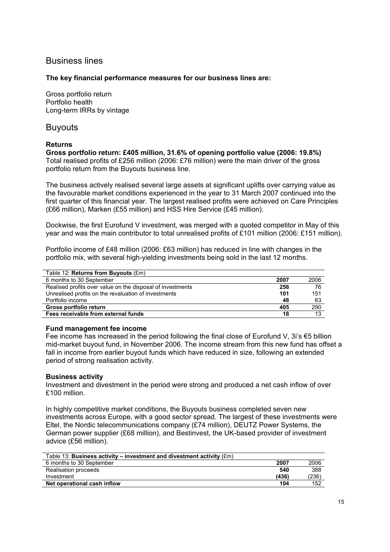### Business lines

#### **The key financial performance measures for our business lines are:**

Gross portfolio return Portfolio health Long-term IRRs by vintage

### Buyouts

#### **Returns**

**Gross portfolio return: £405 million, 31.6% of opening portfolio value (2006: 19.8%)**  Total realised profits of £256 million (2006: £76 million) were the main driver of the gross portfolio return from the Buyouts business line.

The business actively realised several large assets at significant uplifts over carrying value as the favourable market conditions experienced in the year to 31 March 2007 continued into the first quarter of this financial year. The largest realised profits were achieved on Care Principles (£66 million), Marken (£55 million) and HSS Hire Service (£45 million).

Dockwise, the first Eurofund V investment, was merged with a quoted competitor in May of this year and was the main contributor to total unrealised profits of £101 million (2006: £151 million).

Portfolio income of £48 million (2006: £63 million) has reduced in line with changes in the portfolio mix, with several high-yielding investments being sold in the last 12 months.

| Table 12: Returns from Buyouts $(\text{Em})$               |      |      |
|------------------------------------------------------------|------|------|
| 6 months to 30 September                                   | 2007 | 2006 |
| Realised profits over value on the disposal of investments | 256  | 76   |
| Unrealised profits on the revaluation of investments       | 101  | 151  |
| Portfolio income                                           | 48   | 63   |
| Gross portfolio return                                     | 405  | 290  |
| Fees receivable from external funds                        | 18   | 13   |

#### **Fund management fee income**

Fee income has increased in the period following the final close of Eurofund V, 3i's €5 billion mid-market buyout fund, in November 2006. The income stream from this new fund has offset a fall in income from earlier buyout funds which have reduced in size, following an extended period of strong realisation activity.

#### **Business activity**

Investment and divestment in the period were strong and produced a net cash inflow of over £100 million.

In highly competitive market conditions, the Buyouts business completed seven new investments across Europe, with a good sector spread. The largest of these investments were Eltel, the Nordic telecommunications company (£74 million), DEUTZ Power Systems, the German power supplier (£68 million), and Bestinvest, the UK-based provider of investment advice (£56 million).

| Table 13: Business activity – investment and divestment activity $(\text{Em})$ |       |       |
|--------------------------------------------------------------------------------|-------|-------|
| 6 months to 30 September                                                       | 2007  | 2006  |
| Realisation proceeds                                                           | 540   | 388   |
| Investment                                                                     | (436) | (236) |
| Net operational cash inflow                                                    | 104   | 152   |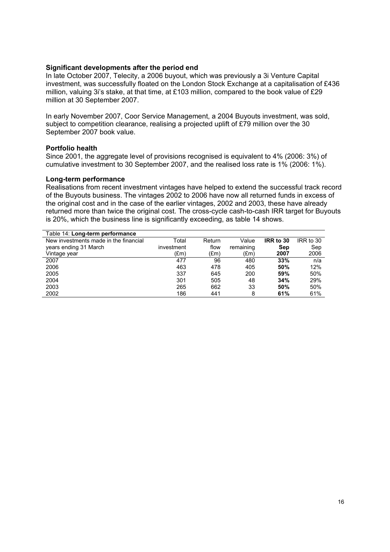#### **Significant developments after the period end**

In late October 2007, Telecity, a 2006 buyout, which was previously a 3i Venture Capital investment, was successfully floated on the London Stock Exchange at a capitalisation of £436 million, valuing 3i's stake, at that time, at £103 million, compared to the book value of £29 million at 30 September 2007.

In early November 2007, Coor Service Management, a 2004 Buyouts investment, was sold, subject to competition clearance, realising a projected uplift of £79 million over the 30 September 2007 book value.

#### **Portfolio health**

Since 2001, the aggregate level of provisions recognised is equivalent to 4% (2006: 3%) of cumulative investment to 30 September 2007, and the realised loss rate is 1% (2006: 1%).

#### **Long-term performance**

Realisations from recent investment vintages have helped to extend the successful track record of the Buyouts business. The vintages 2002 to 2006 have now all returned funds in excess of the original cost and in the case of the earlier vintages, 2002 and 2003, these have already returned more than twice the original cost. The cross-cycle cash-to-cash IRR target for Buyouts is 20%, which the business line is significantly exceeding, as table 14 shows.

| Table 14: Long-term performance       |            |        |               |            |           |
|---------------------------------------|------------|--------|---------------|------------|-----------|
| New investments made in the financial | Total      | Return | Value         | IRR to 30  | IRR to 30 |
| years ending 31 March                 | investment | flow   | remaining     | Sep        | Sep       |
| Vintage year                          | (£m)       | (£m)   | $(\text{Em})$ | 2007       | 2006      |
| 2007                                  | 477        | 96     | 480           | 33%        | n/a       |
| 2006                                  | 463        | 478    | 405           | 50%        | 12%       |
| 2005                                  | 337        | 645    | 200           | <b>59%</b> | 50%       |
| 2004                                  | 301        | 505    | 48            | 34%        | 29%       |
| 2003                                  | 265        | 662    | 33            | 50%        | 50%       |
| 2002                                  | 186        | 441    | 8             | 61%        | 61%       |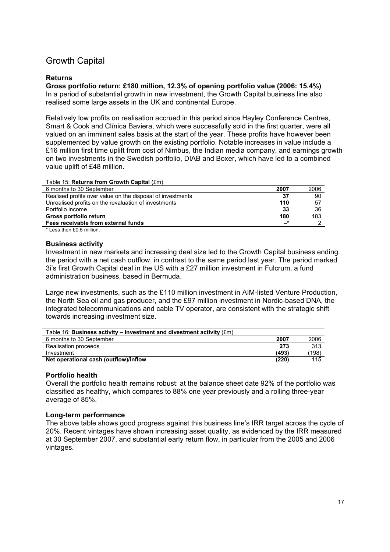## Growth Capital

#### **Returns**

**Gross portfolio return: £180 million, 12.3% of opening portfolio value (2006: 15.4%)**  In a period of substantial growth in new investment, the Growth Capital business line also realised some large assets in the UK and continental Europe.

Relatively low profits on realisation accrued in this period since Hayley Conference Centres, Smart & Cook and Clínica Baviera, which were successfully sold in the first quarter, were all valued on an imminent sales basis at the start of the year. These profits have however been supplemented by value growth on the existing portfolio. Notable increases in value include a £16 million first time uplift from cost of Nimbus, the Indian media company, and earnings growth on two investments in the Swedish portfolio, DIAB and Boxer, which have led to a combined value uplift of £48 million.

| Table 15: Returns from Growth Capital (£m)                 |      |      |
|------------------------------------------------------------|------|------|
| 6 months to 30 September                                   | 2007 | 2006 |
| Realised profits over value on the disposal of investments | 37   | 90   |
| Unrealised profits on the revaluation of investments       | 110  | 57   |
| Portfolio income                                           | 33   | 36   |
| Gross portfolio return                                     | 180  | 183  |
| Fees receivable from external funds                        | –*   |      |
| $\cdots$                                                   |      |      |

\* Less then £0.5 million.

#### **Business activity**

Investment in new markets and increasing deal size led to the Growth Capital business ending the period with a net cash outflow, in contrast to the same period last year. The period marked 3i's first Growth Capital deal in the US with a £27 million investment in Fulcrum, a fund administration business, based in Bermuda.

Large new investments, such as the £110 million investment in AIM-listed Venture Production. the North Sea oil and gas producer, and the £97 million investment in Nordic-based DNA, the integrated telecommunications and cable TV operator, are consistent with the strategic shift towards increasing investment size.

| Table 16: Business activity – investment and divestment activity $(\text{Em})$ |       |       |
|--------------------------------------------------------------------------------|-------|-------|
| 6 months to 30 September                                                       | 2007  | 2006  |
| Realisation proceeds                                                           | 273   | 313   |
| Investment                                                                     | (493) | (198) |
| Net operational cash (outflow)/inflow                                          | (220) | 115   |

#### **Portfolio health**

Overall the portfolio health remains robust: at the balance sheet date 92% of the portfolio was classified as healthy, which compares to 88% one year previously and a rolling three-year average of 85%.

#### **Long-term performance**

The above table shows good progress against this business line's IRR target across the cycle of 20%. Recent vintages have shown increasing asset quality, as evidenced by the IRR measured at 30 September 2007, and substantial early return flow, in particular from the 2005 and 2006 vintages.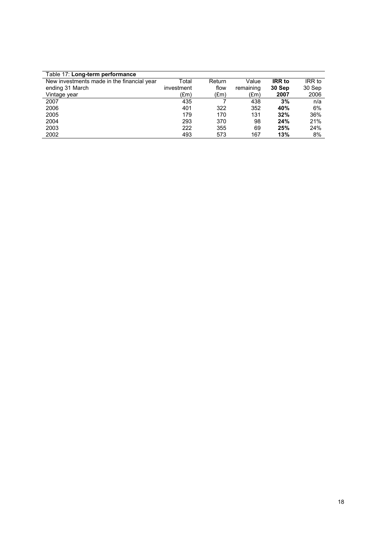| Table 17: Long-term performance            |            |        |               |               |        |
|--------------------------------------------|------------|--------|---------------|---------------|--------|
| New investments made in the financial year | Total      | Return | Value         | <b>IRR to</b> | IRR to |
| ending 31 March                            | investment | flow   | remaining     | 30 Sep        | 30 Sep |
| Vintage year                               | (£m)       | (£m)   | $(\text{Em})$ | 2007          | 2006   |
| 2007                                       | 435        |        | 438           | 3%            | n/a    |
| 2006                                       | 401        | 322    | 352           | 40%           | 6%     |
| 2005                                       | 179        | 170    | 131           | 32%           | 36%    |
| 2004                                       | 293        | 370    | 98            | 24%           | 21%    |
| 2003                                       | 222        | 355    | 69            | 25%           | 24%    |
| 2002                                       | 493        | 573    | 167           | 13%           | 8%     |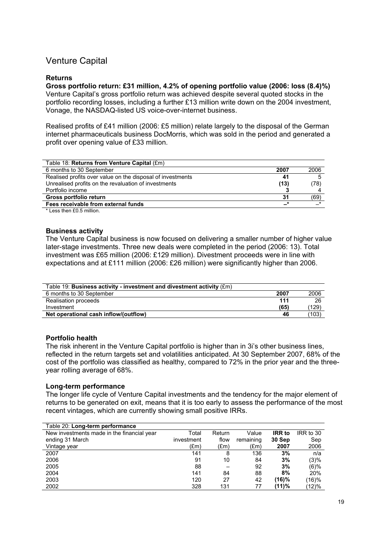# Venture Capital

#### **Returns**

**Gross portfolio return: £31 million, 4.2% of opening portfolio value (2006: loss (8.4)%)**  Venture Capital's gross portfolio return was achieved despite several quoted stocks in the portfolio recording losses, including a further £13 million write down on the 2004 investment, Vonage, the NASDAQ-listed US voice-over-internet business.

Realised profits of £41 million (2006: £5 million) relate largely to the disposal of the German internet pharmaceuticals business DocMorris, which was sold in the period and generated a profit over opening value of £33 million.

| Table 18: Returns from Venture Capital (£m)                |      |      |
|------------------------------------------------------------|------|------|
| 6 months to 30 September                                   | 2007 | 2006 |
| Realised profits over value on the disposal of investments | 41   |      |
| Unrealised profits on the revaluation of investments       | (13) | (78) |
| Portfolio income                                           |      |      |
| Gross portfolio return                                     | 31   | (69) |
| Fees receivable from external funds                        |      |      |
|                                                            |      |      |

\* Less then £0.5 million.

#### **Business activity**

The Venture Capital business is now focused on delivering a smaller number of higher value later-stage investments. Three new deals were completed in the period (2006: 13). Total investment was £65 million (2006: £129 million). Divestment proceeds were in line with expectations and at £111 million (2006: £26 million) were significantly higher than 2006.

| Table 19: Business activity - investment and divestment activity $(\text{Em})$ |      |       |
|--------------------------------------------------------------------------------|------|-------|
| 6 months to 30 September                                                       | 2007 | 2006  |
| Realisation proceeds                                                           | 111  | 26    |
| Investment                                                                     | (65) | (129) |
| Net operational cash inflow/(outflow)                                          | 46   | (103) |

#### **Portfolio health**

The risk inherent in the Venture Capital portfolio is higher than in 3i's other business lines, reflected in the return targets set and volatilities anticipated. At 30 September 2007, 68% of the cost of the portfolio was classified as healthy, compared to 72% in the prior year and the threeyear rolling average of 68%.

#### **Long-term performance**

The longer life cycle of Venture Capital investments and the tendency for the major element of returns to be generated on exit, means that it is too early to assess the performance of the most recent vintages, which are currently showing small positive IRRs.

| Table 20: Long-term performance            |            |               |           |               |           |
|--------------------------------------------|------------|---------------|-----------|---------------|-----------|
| New investments made in the financial year | Total      | Return        | Value     | <b>IRR to</b> | IRR to 30 |
| ending 31 March                            | investment | flow          | remaining | 30 Sep        | Sep       |
| Vintage year                               | E(m)       | $(\text{Em})$ | E(m)      | 2007          | 2006      |
| 2007                                       | 141        | 8             | 136       | 3%            | n/a       |
| 2006                                       | 91         | 10            | 84        | 3%            | (3)%      |
| 2005                                       | 88         |               | 92        | 3%            | $(6)$ %   |
| 2004                                       | 141        | 84            | 88        | 8%            | 20%       |
| 2003                                       | 120        | 27            | 42        | (16)%         | (16)%     |
| 2002                                       | 328        | 131           | 77        | (11)%         | (12)%     |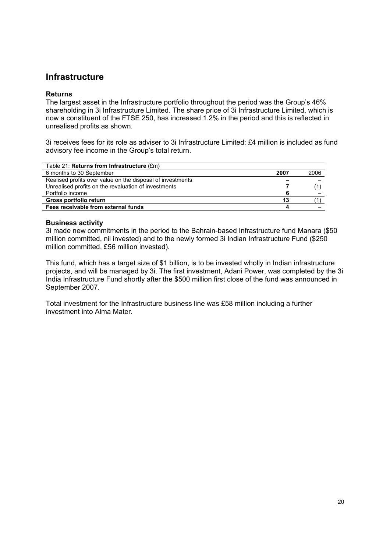## **Infrastructure**

#### **Returns**

The largest asset in the Infrastructure portfolio throughout the period was the Group's 46% shareholding in 3i Infrastructure Limited. The share price of 3i Infrastructure Limited, which is now a constituent of the FTSE 250, has increased 1.2% in the period and this is reflected in unrealised profits as shown.

3i receives fees for its role as adviser to 3i Infrastructure Limited: £4 million is included as fund advisory fee income in the Group's total return.

| Table 21: Returns from Infrastructure (£m)                 |      |      |
|------------------------------------------------------------|------|------|
| 6 months to 30 September                                   | 2007 | 2006 |
| Realised profits over value on the disposal of investments |      |      |
| Unrealised profits on the revaluation of investments       |      |      |
| Portfolio income                                           |      |      |
| Gross portfolio return                                     | 13   |      |
| Fees receivable from external funds                        |      |      |

#### **Business activity**

3i made new commitments in the period to the Bahrain-based Infrastructure fund Manara (\$50 million committed, nil invested) and to the newly formed 3i Indian Infrastructure Fund (\$250 million committed, £56 million invested).

This fund, which has a target size of \$1 billion, is to be invested wholly in Indian infrastructure projects, and will be managed by 3i. The first investment, Adani Power, was completed by the 3i India Infrastructure Fund shortly after the \$500 million first close of the fund was announced in September 2007.

Total investment for the Infrastructure business line was £58 million including a further investment into Alma Mater.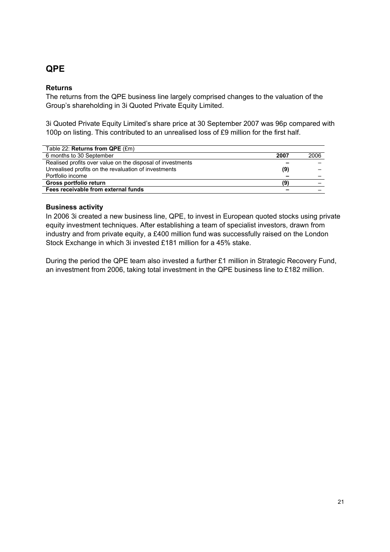# **QPE**

#### **Returns**

The returns from the QPE business line largely comprised changes to the valuation of the Group's shareholding in 3i Quoted Private Equity Limited.

3i Quoted Private Equity Limited's share price at 30 September 2007 was 96p compared with 100p on listing. This contributed to an unrealised loss of £9 million for the first half.

| Table 22: Returns from $QPE$ (£m)                          |                          |      |
|------------------------------------------------------------|--------------------------|------|
| 6 months to 30 September                                   | 2007                     | 2006 |
| Realised profits over value on the disposal of investments |                          |      |
| Unrealised profits on the revaluation of investments       | (9)                      |      |
| Portfolio income                                           | $\overline{\phantom{0}}$ |      |
| Gross portfolio return                                     | (9)                      |      |
| Fees receivable from external funds                        | $\overline{\phantom{0}}$ |      |
|                                                            |                          |      |

#### **Business activity**

In 2006 3i created a new business line, QPE, to invest in European quoted stocks using private equity investment techniques. After establishing a team of specialist investors, drawn from industry and from private equity, a £400 million fund was successfully raised on the London Stock Exchange in which 3i invested £181 million for a 45% stake.

During the period the QPE team also invested a further £1 million in Strategic Recovery Fund, an investment from 2006, taking total investment in the QPE business line to £182 million.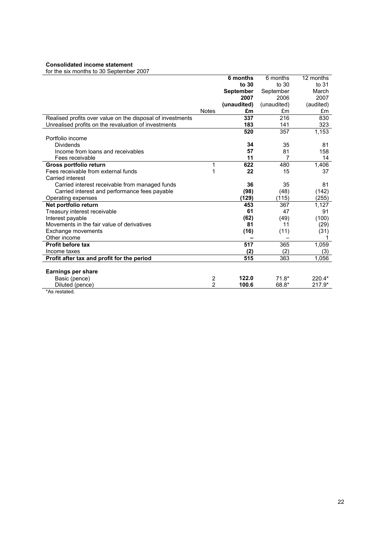#### **Consolidated income statement**

for the six months to 30 September 2007

|                                                            |              | 6 months    | 6 months       | 12 months |
|------------------------------------------------------------|--------------|-------------|----------------|-----------|
|                                                            |              | to 30       | to $30$        | to $31$   |
|                                                            |              | September   | September      | March     |
|                                                            |              | 2007        | 2006           | 2007      |
|                                                            |              | (unaudited) | (unaudited)    | (audited) |
|                                                            | <b>Notes</b> | £m          | £m             | £m        |
| Realised profits over value on the disposal of investments |              | 337         | 216            | 830       |
| Unrealised profits on the revaluation of investments       |              | 183         | 141            | 323       |
|                                                            |              | 520         | 357            | 1,153     |
| Portfolio income                                           |              |             |                |           |
| Dividends                                                  |              | 34          | 35             | 81        |
| Income from loans and receivables                          |              | 57          | 81             | 158       |
| Fees receivable                                            |              | 11          | $\overline{7}$ | 14        |
| Gross portfolio return                                     | 1            | 622         | 480            | 1,406     |
| Fees receivable from external funds                        | 1            | 22          | 15             | 37        |
| Carried interest                                           |              |             |                |           |
| Carried interest receivable from managed funds             |              | 36          | 35             | 81        |
| Carried interest and performance fees payable              |              | (98)        | (48)           | (142)     |
| Operating expenses                                         |              | (129)       | (115)          | (255)     |
| Net portfolio return                                       |              | 453         | 367            | 1,127     |
| Treasury interest receivable                               |              | 61          | 47             | 91        |
| Interest payable                                           |              | (62)        | (49)           | (100)     |
| Movements in the fair value of derivatives                 |              | 81          | 11             | (29)      |
| <b>Exchange movements</b>                                  |              | (16)        | (11)           | (31)      |
| Other income                                               |              |             |                |           |
| <b>Profit before tax</b>                                   |              | 517         | 365            | 1,059     |
| Income taxes                                               |              | (2)         | (2)            | (3)       |
| Profit after tax and profit for the period                 |              | 515         | 363            | 1,056     |
|                                                            |              |             |                |           |
| <b>Earnings per share</b>                                  |              |             |                |           |
| Basic (pence)                                              | 2            | 122.0       | $71.8*$        | 220.4*    |
| Diluted (pence)                                            | 2            | 100.6       | 68.8*          | 217.9*    |
| *As restated.                                              |              |             |                |           |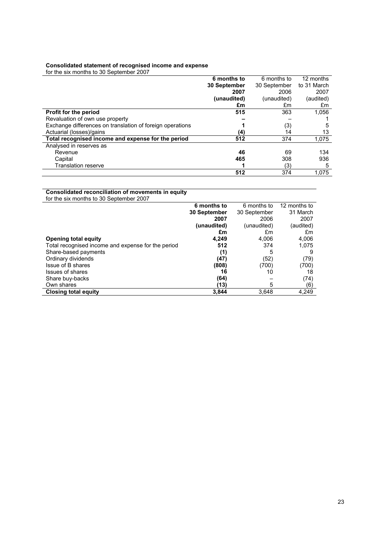#### **Consolidated statement of recognised income and expense**

for the six months to 30 September 2007

|                                                           | 6 months to  | 6 months to  | 12 months   |
|-----------------------------------------------------------|--------------|--------------|-------------|
|                                                           | 30 September | 30 September | to 31 March |
|                                                           | 2007         | 2006         | 2007        |
|                                                           | (unaudited)  | (unaudited)  | (audited)   |
|                                                           | £m           | £m           | £m          |
| <b>Profit for the period</b>                              | 515          | 363          | 1,056       |
| Revaluation of own use property                           |              |              |             |
| Exchange differences on translation of foreign operations |              | (3)          | 5           |
| Actuarial (losses)/gains                                  | (4)          | 14           | 13          |
| Total recognised income and expense for the period        | 512          | 374          | 1.075       |
| Analysed in reserves as                                   |              |              |             |
| Revenue                                                   | 46           | 69           | 134         |
| Capital                                                   | 465          | 308          | 936         |
| <b>Translation reserve</b>                                |              | (3)          | 5           |
|                                                           | 512          | 374          | 1.075       |

#### **Consolidated reconciliation of movements in equity**

| for the six months to 30 September 2007            |                     |              |              |
|----------------------------------------------------|---------------------|--------------|--------------|
|                                                    | 6 months to         | 6 months to  | 12 months to |
|                                                    | <b>30 September</b> | 30 September | 31 March     |
|                                                    | 2007                | 2006         | 2007         |
|                                                    | (unaudited)         | (unaudited)  | (audited)    |
|                                                    | £m                  | £m           | £m           |
| Opening total equity                               | 4,249               | 4.006        | 4,006        |
| Total recognised income and expense for the period | 512                 | 374          | 1.075        |
| Share-based payments                               | (1)                 | 5            | 9            |
| Ordinary dividends                                 | (47)                | (52)         | (79)         |
| Issue of B shares                                  | (808)               | (700)        | (700)        |
| <b>Issues of shares</b>                            | 16                  | 10           | 18           |
| Share buy-backs                                    | (64)                |              | (74)         |
| Own shares                                         | (13)                | 5            | (6)          |
| <b>Closing total equity</b>                        | 3,844               | 3.648        | 4.249        |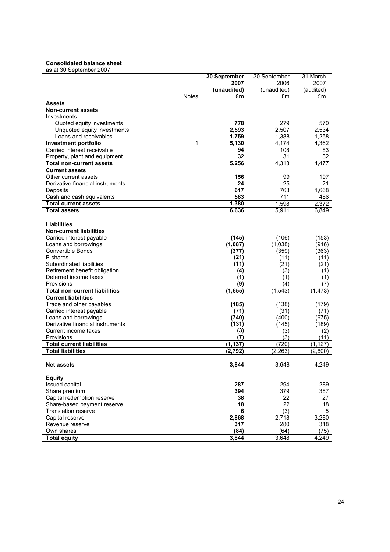#### **Consolidated balance sheet**

| as at 30 September 2007 |  |
|-------------------------|--|
|-------------------------|--|

|                                                    |              | 30 September    | 30 September    | 31 March        |
|----------------------------------------------------|--------------|-----------------|-----------------|-----------------|
|                                                    |              | 2007            | 2006            | 2007            |
|                                                    |              | (unaudited)     | (unaudited)     | (audited)       |
|                                                    | <b>Notes</b> | £m              | £m              | £m              |
| <b>Assets</b>                                      |              |                 |                 |                 |
| <b>Non-current assets</b>                          |              |                 |                 |                 |
| Investments                                        |              |                 |                 |                 |
| Quoted equity investments                          |              | 778             | 279             | 570             |
| Unquoted equity investments                        |              | 2,593           | 2,507           | 2,534           |
| Loans and receivables                              |              | 1,759           | 1,388           | 1,258           |
| <b>Investment portfolio</b>                        | 1            | 5,130           | 4,174           | 4,362           |
| Carried interest receivable                        |              | 94              | 108             | 83              |
| Property, plant and equipment                      |              | 32              | 31              | 32              |
| <b>Total non-current assets</b>                    |              | 5,256           | 4,313           | 4,477           |
| <b>Current assets</b>                              |              |                 |                 |                 |
| Other current assets                               |              | 156             | 99              | 197             |
| Derivative financial instruments                   |              | 24              | 25              | 21              |
| Deposits                                           |              | 617             | 763             | 1,668           |
| Cash and cash equivalents                          |              | 583             | 711             | 486             |
| <b>Total current assets</b>                        |              | 1,380           | 1,598           | 2,372           |
| <b>Total assets</b>                                |              | 6,636           | 5,911           | 6,849           |
|                                                    |              |                 |                 |                 |
| <b>Liabilities</b>                                 |              |                 |                 |                 |
| <b>Non-current liabilities</b>                     |              |                 |                 |                 |
| Carried interest payable                           |              | (145)           | (106)           | (153)           |
| Loans and borrowings                               |              | (1,087)         | (1,038)         | (916)           |
| <b>Convertible Bonds</b>                           |              | (377)           | (359)           | (363)           |
| <b>B</b> shares                                    |              | (21)            | (11)            | (11)            |
| Subordinated liabilities                           |              | (11)            | (21)            | (21)            |
| Retirement benefit obligation                      |              | (4)             | (3)             | (1)             |
| Deferred income taxes                              |              | (1)             | (1)             | (1)             |
| Provisions<br><b>Total non-current liabilities</b> |              | (9)<br>(1, 655) | (4)<br>(1, 543) | (7)<br>(1, 473) |
| <b>Current liabilities</b>                         |              |                 |                 |                 |
| Trade and other payables                           |              | (185)           | (138)           | (179)           |
| Carried interest payable                           |              | (71)            | (31)            | (71)            |
| Loans and borrowings                               |              | (740)           | (400)           | (675)           |
| Derivative financial instruments                   |              | (131)           | (145)           | (189)           |
| Current income taxes                               |              | (3)             | (3)             | (2)             |
| Provisions                                         |              | (7)             | (3)             | (11)            |
| <b>Total current liabilities</b>                   |              | (1, 137)        | (720)           | (1, 127)        |
| <b>Total liabilities</b>                           |              | (2,792)         | (2, 263)        | (2,600)         |
|                                                    |              |                 |                 |                 |
| <b>Net assets</b>                                  |              | 3.844           | 3,648           | 4,249           |
|                                                    |              |                 |                 |                 |
| Equity                                             |              |                 |                 |                 |
| Issued capital                                     |              | 287             | 294             | 289             |
| Share premium                                      |              | 394             | 379             | 387             |
| Capital redemption reserve                         |              | 38              | 22              | 27              |
| Share-based payment reserve                        |              | 18              | 22              | 18              |
| <b>Translation reserve</b>                         |              | 6               | (3)             | 5               |
| Capital reserve                                    |              | 2,868           | 2,718           | 3,280           |
| Revenue reserve                                    |              | 317             | 280             | 318             |
| Own shares                                         |              | (84)            | (64)            | (75)            |
| <b>Total equity</b>                                |              | 3,844           | 3,648           | 4,249           |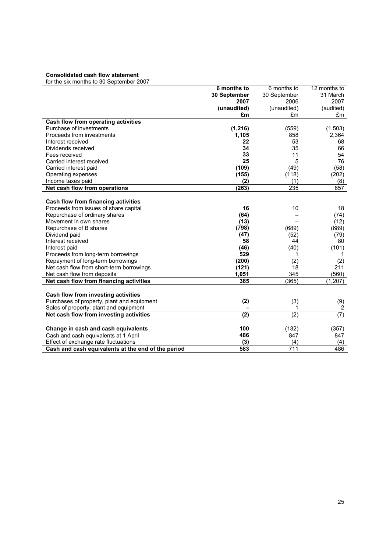#### **Consolidated cash flow statement**

for the six months to 30 September 2007

|                                                    | 6 months to  | 6 months to      | 12 months to   |
|----------------------------------------------------|--------------|------------------|----------------|
|                                                    | 30 September | 30 September     | 31 March       |
|                                                    | 2007         | 2006             | 2007           |
|                                                    | (unaudited)  | (unaudited)      | (audited)      |
|                                                    | £m           | £m               | £m             |
| Cash flow from operating activities                |              |                  |                |
| Purchase of investments                            | (1, 216)     | (559)            | (1, 503)       |
| Proceeds from investments                          | 1,105        | 858              | 2,364          |
| Interest received                                  | 22           | 53               | 68             |
| Dividends received                                 | 34           | 35               | 66             |
| Fees received                                      | 33           | 11               | 54             |
| Carried interest received                          | 25           | 5                | 76             |
| Carried interest paid                              | (109)        | (49)             | (58)           |
| Operating expenses                                 | (155)        | (118)            | (202)          |
| Income taxes paid                                  | (2)          | (1)              | (8)            |
| Net cash flow from operations                      | (263)        | 235              | 857            |
|                                                    |              |                  |                |
| Cash flow from financing activities                |              |                  |                |
| Proceeds from issues of share capital              | 16           | 10               | 18             |
| Repurchase of ordinary shares                      | (64)         |                  | (74)           |
| Movement in own shares                             | (13)         |                  | (12)           |
| Repurchase of B shares                             | (798)        | (689)            | (689)          |
| Dividend paid                                      | (47)         | (52)             | (79)           |
| Interest received                                  | 58           | 44               | 80             |
| Interest paid                                      | (46)         | (40)             | (101)          |
| Proceeds from long-term borrowings                 | 529          |                  |                |
| Repayment of long-term borrowings                  | (200)        | (2)              | (2)            |
| Net cash flow from short-term borrowings           | (121)        | 18               | 211            |
| Net cash flow from deposits                        | 1,051        | 345              | (560)          |
| Net cash flow from financing activities            | 365          | (365)            | (1, 207)       |
|                                                    |              |                  |                |
| Cash flow from investing activities                |              |                  |                |
| Purchases of property, plant and equipment         | (2)          | (3)              | (9)            |
| Sales of property, plant and equipment             | -            | 1                | $\overline{2}$ |
| Net cash flow from investing activities            | (2)          | (2)              | (7)            |
|                                                    |              |                  |                |
| Change in cash and cash equivalents                | 100          | (132)            | (357)          |
| Cash and cash equivalents at 1 April               | 486          | 847              | 847            |
| Effect of exchange rate fluctuations               | (3)          | (4)              | (4)            |
| Cash and cash equivalents at the end of the period | 583          | $\overline{711}$ | 486            |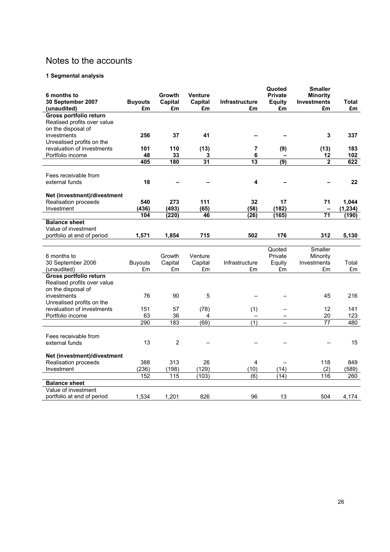# Notes to the accounts

#### **1 Segmental analysis**

|                                                   |                |                |                |                | Quoted                   | <b>Smaller</b>     |          |
|---------------------------------------------------|----------------|----------------|----------------|----------------|--------------------------|--------------------|----------|
| 6 months to                                       |                | Growth         | <b>Venture</b> |                | <b>Private</b>           | <b>Minority</b>    |          |
| 30 September 2007                                 | <b>Buyouts</b> | Capital        | Capital        | Infrastructure | <b>Equity</b>            | <b>Investments</b> | Total    |
| (unaudited)                                       | £m             | £m             | £m             | £m             | £m                       | £m                 | £m       |
| Gross portfolio return                            |                |                |                |                |                          |                    |          |
| Realised profits over value                       |                |                |                |                |                          |                    |          |
| on the disposal of                                |                |                |                |                |                          |                    |          |
| investments                                       | 256            | 37             | 41             |                |                          | 3                  | 337      |
| Unrealised profits on the                         |                |                |                |                |                          |                    |          |
| revaluation of investments                        | 101            | 110            | (13)           | 7              | (9)                      | (13)               | 183      |
| Portfolio income                                  | 48             | 33             | 3              | 6              |                          | 12                 | 102      |
|                                                   | 405            | 180            | 31             | 13             | (9)                      | $\overline{2}$     | 622      |
|                                                   |                |                |                |                |                          |                    |          |
| Fees receivable from                              |                |                |                |                |                          |                    |          |
| external funds                                    | 18             |                |                | 4              |                          |                    | 22       |
|                                                   |                |                |                |                |                          |                    |          |
| Net (investment)/divestment                       |                |                |                |                |                          |                    |          |
| Realisation proceeds                              | 540            | 273            | 111            | 32             | 17                       | 71                 | 1,044    |
| Investment                                        | (436)          | (493)          | (65)           | (58)           | (182)                    |                    | (1, 234) |
|                                                   | 104            | (220)          | 46             | (26)           | (165)                    | 71                 | (190)    |
| <b>Balance sheet</b>                              |                |                |                |                |                          |                    |          |
| Value of investment                               |                |                |                |                |                          |                    |          |
| portfolio at end of period                        | 1,571          | 1,854          | 715            | 502            | 176                      | 312                | 5,130    |
|                                                   |                |                |                |                |                          |                    |          |
|                                                   |                |                |                |                |                          |                    |          |
|                                                   |                |                |                |                | Quoted                   | Smaller            |          |
| 6 months to                                       |                | Growth         | Venture        |                | Private                  | Minority           |          |
| 30 September 2006                                 | <b>Buyouts</b> | Capital        | Capital        | Infrastructure | Equity                   | Investments        | Total    |
| (unaudited)                                       | £m             | £m             | £m             | £m             | £m                       | £m                 | £m       |
| Gross portfolio return                            |                |                |                |                |                          |                    |          |
| Realised profits over value                       |                |                |                |                |                          |                    |          |
| on the disposal of                                |                |                |                |                |                          |                    |          |
| investments                                       | 76             | 90             | 5              |                |                          | 45                 | 216      |
| Unrealised profits on the                         |                |                |                |                |                          |                    |          |
| revaluation of investments                        | 151            | 57             | (78)           | (1)            |                          | 12                 | 141      |
| Portfolio income                                  | 63             | 36             | 4              |                |                          | 20                 | 123      |
|                                                   | 290            | 183            | (69)           | (1)            | $\overline{\phantom{0}}$ | 77                 | 480      |
|                                                   |                |                |                |                |                          |                    |          |
| Fees receivable from                              |                |                |                |                |                          |                    |          |
| external funds                                    | 13             | $\overline{2}$ |                |                |                          |                    | 15       |
|                                                   |                |                |                |                |                          |                    |          |
| Net (investment)/divestment                       |                |                |                |                |                          |                    |          |
| Realisation proceeds                              | 388            | 313            | 26             | 4              |                          | 118                | 849      |
| Investment                                        | (236)          | (198)          | (129)          | (10)           | (14)                     | (2)                | (589)    |
|                                                   | 152            | 115            | (103)          | (6)            | (14)                     | 116                | 260      |
| <b>Balance sheet</b>                              |                |                |                |                |                          |                    |          |
| Value of investment<br>portfolio at end of period | 1,534          | 1,201          | 826            | 96             | 13                       | 504                | 4,174    |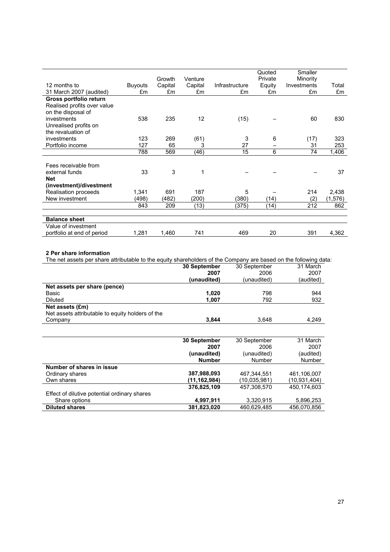|                             |         |         |         |                | Quoted<br>Private | Smaller     |          |
|-----------------------------|---------|---------|---------|----------------|-------------------|-------------|----------|
| 12 months to                |         | Growth  | Venture |                |                   | Minority    |          |
|                             | Buyouts | Capital | Capital | Infrastructure | Equity            | Investments | Total    |
| 31 March 2007 (audited)     | £m      | £m      | £m      | £m             | £m                | £m          | £m       |
| Gross portfolio return      |         |         |         |                |                   |             |          |
| Realised profits over value |         |         |         |                |                   |             |          |
| on the disposal of          |         |         |         |                |                   |             |          |
| investments                 | 538     | 235     | 12      | (15)           |                   | 60          | 830      |
| Unrealised profits on       |         |         |         |                |                   |             |          |
| the revaluation of          |         |         |         |                |                   |             |          |
| investments                 | 123     | 269     | (61)    | 3              | 6                 | (17)        | 323      |
| Portfolio income            | 127     | 65      | 3       | 27             |                   | 31          | 253      |
|                             | 788     | 569     | (46)    | 15             | 6                 | 74          | 1,406    |
|                             |         |         |         |                |                   |             |          |
| Fees receivable from        |         |         |         |                |                   |             |          |
| external funds              | 33      | 3       | 1       |                |                   |             | 37       |
| Net                         |         |         |         |                |                   |             |          |
| (investment)/divestment     |         |         |         |                |                   |             |          |
| Realisation proceeds        | 1,341   | 691     | 187     | 5              |                   | 214         | 2,438    |
| New investment              | (498)   | (482)   | (200)   | (380)          | (14)              | (2)         | (1, 576) |
|                             | 843     | 209     | (13)    | (375)          | (14)              | 212         | 862      |
|                             |         |         |         |                |                   |             |          |
| <b>Balance sheet</b>        |         |         |         |                |                   |             |          |
| Value of investment         |         |         |         |                |                   |             |          |
| portfolio at end of period  | 1,281   | 1,460   | 741     | 469            | 20                | 391         | 4,362    |

#### **2 Per share information**

The net assets per share attributable to the equity shareholders of the Company are based on the following data:

|                                                  | 30 September | 30 September | 31 March  |
|--------------------------------------------------|--------------|--------------|-----------|
|                                                  | 2007         | 2006         | 2007      |
|                                                  | (unaudited)  | (unaudited)  | (audited) |
| Net assets per share (pence)                     |              |              |           |
| Basic                                            | 1.020        | 798          | 944       |
| Diluted                                          | 1,007        | 792          | 932       |
| Net assets (£m)                                  |              |              |           |
| Net assets attributable to equity holders of the |              |              |           |
| Company                                          | 3.844        | 3.648        | 4,249     |

|                                              | 30 September  | 30 September | 31 March     |
|----------------------------------------------|---------------|--------------|--------------|
|                                              | 2007          | 2006         | 2007         |
|                                              | (unaudited)   | (unaudited)  | (audited)    |
|                                              | <b>Number</b> | Number       | Number       |
| Number of shares in issue                    |               |              |              |
| Ordinary shares                              | 387,988,093   | 467.344.551  | 461.106.007  |
| Own shares                                   | (11,162,984)  | (10,035,981) | (10,931,404) |
|                                              | 376.825.109   | 457.308.570  | 450.174.603  |
| Effect of dilutive potential ordinary shares |               |              |              |
| Share options                                | 4,997,911     | 3,320,915    | 5,896,253    |
| <b>Diluted shares</b>                        | 381.823.020   | 460.629.485  | 456.070.856  |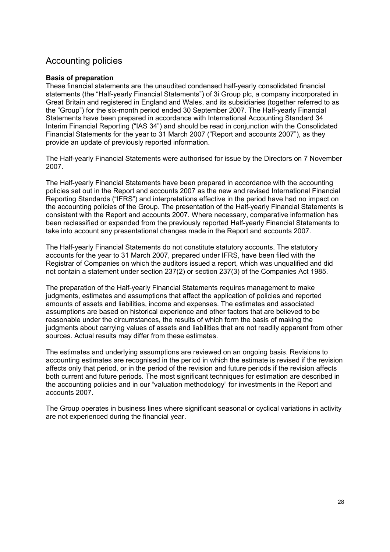## Accounting policies

#### **Basis of preparation**

These financial statements are the unaudited condensed half-yearly consolidated financial statements (the "Half-yearly Financial Statements") of 3i Group plc, a company incorporated in Great Britain and registered in England and Wales, and its subsidiaries (together referred to as the "Group") for the six-month period ended 30 September 2007. The Half-yearly Financial Statements have been prepared in accordance with International Accounting Standard 34 Interim Financial Reporting ("IAS 34") and should be read in conjunction with the Consolidated Financial Statements for the year to 31 March 2007 ("Report and accounts 2007"), as they provide an update of previously reported information.

The Half-yearly Financial Statements were authorised for issue by the Directors on 7 November 2007.

The Half-yearly Financial Statements have been prepared in accordance with the accounting policies set out in the Report and accounts 2007 as the new and revised International Financial Reporting Standards ("IFRS") and interpretations effective in the period have had no impact on the accounting policies of the Group. The presentation of the Half-yearly Financial Statements is consistent with the Report and accounts 2007. Where necessary, comparative information has been reclassified or expanded from the previously reported Half-yearly Financial Statements to take into account any presentational changes made in the Report and accounts 2007.

The Half-yearly Financial Statements do not constitute statutory accounts. The statutory accounts for the year to 31 March 2007, prepared under IFRS, have been filed with the Registrar of Companies on which the auditors issued a report, which was unqualified and did not contain a statement under section 237(2) or section 237(3) of the Companies Act 1985.

The preparation of the Half-yearly Financial Statements requires management to make judgments, estimates and assumptions that affect the application of policies and reported amounts of assets and liabilities, income and expenses. The estimates and associated assumptions are based on historical experience and other factors that are believed to be reasonable under the circumstances, the results of which form the basis of making the judgments about carrying values of assets and liabilities that are not readily apparent from other sources. Actual results may differ from these estimates.

The estimates and underlying assumptions are reviewed on an ongoing basis. Revisions to accounting estimates are recognised in the period in which the estimate is revised if the revision affects only that period, or in the period of the revision and future periods if the revision affects both current and future periods. The most significant techniques for estimation are described in the accounting policies and in our "valuation methodology" for investments in the Report and accounts 2007.

The Group operates in business lines where significant seasonal or cyclical variations in activity are not experienced during the financial year.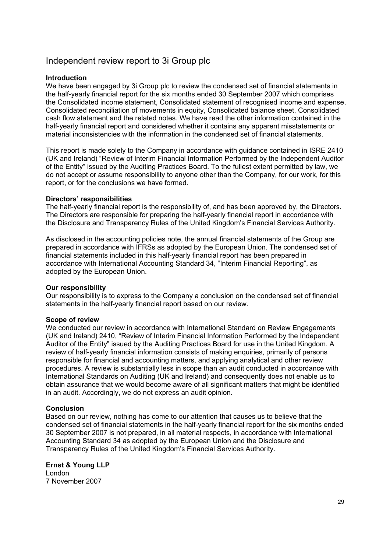## Independent review report to 3i Group plc

#### **Introduction**

We have been engaged by 3i Group plc to review the condensed set of financial statements in the half-yearly financial report for the six months ended 30 September 2007 which comprises the Consolidated income statement, Consolidated statement of recognised income and expense, Consolidated reconciliation of movements in equity, Consolidated balance sheet, Consolidated cash flow statement and the related notes. We have read the other information contained in the half-yearly financial report and considered whether it contains any apparent misstatements or material inconsistencies with the information in the condensed set of financial statements.

This report is made solely to the Company in accordance with guidance contained in ISRE 2410 (UK and Ireland) "Review of Interim Financial Information Performed by the Independent Auditor of the Entity" issued by the Auditing Practices Board. To the fullest extent permitted by law, we do not accept or assume responsibility to anyone other than the Company, for our work, for this report, or for the conclusions we have formed.

#### **Directors' responsibilities**

The half-yearly financial report is the responsibility of, and has been approved by, the Directors. The Directors are responsible for preparing the half-yearly financial report in accordance with the Disclosure and Transparency Rules of the United Kingdom's Financial Services Authority.

As disclosed in the accounting policies note, the annual financial statements of the Group are prepared in accordance with IFRSs as adopted by the European Union. The condensed set of financial statements included in this half-yearly financial report has been prepared in accordance with International Accounting Standard 34, "Interim Financial Reporting", as adopted by the European Union.

#### **Our responsibility**

Our responsibility is to express to the Company a conclusion on the condensed set of financial statements in the half-yearly financial report based on our review.

#### **Scope of review**

We conducted our review in accordance with International Standard on Review Engagements (UK and Ireland) 2410, "Review of Interim Financial Information Performed by the Independent Auditor of the Entity" issued by the Auditing Practices Board for use in the United Kingdom. A review of half-yearly financial information consists of making enquiries, primarily of persons responsible for financial and accounting matters, and applying analytical and other review procedures. A review is substantially less in scope than an audit conducted in accordance with International Standards on Auditing (UK and Ireland) and consequently does not enable us to obtain assurance that we would become aware of all significant matters that might be identified in an audit. Accordingly, we do not express an audit opinion.

#### **Conclusion**

Based on our review, nothing has come to our attention that causes us to believe that the condensed set of financial statements in the half-yearly financial report for the six months ended 30 September 2007 is not prepared, in all material respects, in accordance with International Accounting Standard 34 as adopted by the European Union and the Disclosure and Transparency Rules of the United Kingdom's Financial Services Authority.

**Ernst & Young LLP**  London 7 November 2007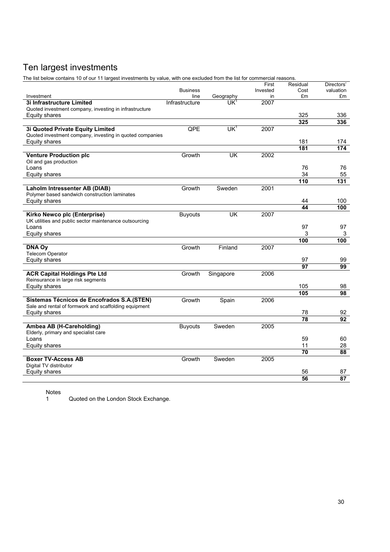# Ten largest investments

The list below contains 10 of our 11 largest investments by value, with one excluded from the list for commercial reasons.

|                                                                                        |                 |                                              | First    | Residual | Directors' |
|----------------------------------------------------------------------------------------|-----------------|----------------------------------------------|----------|----------|------------|
|                                                                                        | <b>Business</b> |                                              | Invested | Cost     | valuation  |
| Investment                                                                             | line            | Geography                                    | in       | £m       | £m         |
| 3i Infrastructure Limited                                                              | Infrastructure  | UK <sup>1</sup>                              | 2007     |          |            |
| Quoted investment company, investing in infrastructure                                 |                 |                                              |          |          |            |
| Equity shares                                                                          |                 |                                              |          | 325      | 336        |
|                                                                                        |                 |                                              |          | 325      | 336        |
| 3i Quoted Private Equity Limited                                                       | QPE             | UK <sup>1</sup>                              | 2007     |          |            |
| Quoted investment company, investing in quoted companies                               |                 |                                              |          |          |            |
| Equity shares                                                                          |                 |                                              |          | 181      | 174        |
|                                                                                        |                 |                                              |          | 181      | 174        |
| <b>Venture Production plc</b>                                                          | Growth          | $\overline{\overline{\mathsf{U}}\mathsf{K}}$ | 2002     |          |            |
| Oil and gas production                                                                 |                 |                                              |          |          |            |
| Loans                                                                                  |                 |                                              |          | 76       | 76         |
| Equity shares                                                                          |                 |                                              |          | 34       | 55         |
|                                                                                        |                 |                                              |          | 110      | 131        |
| Laholm Intressenter AB (DIAB)                                                          | Growth          | Sweden                                       | 2001     |          |            |
| Polymer based sandwich construction laminates                                          |                 |                                              |          |          |            |
| <b>Equity shares</b>                                                                   |                 |                                              |          | 44<br>44 | 100        |
|                                                                                        |                 |                                              |          |          | 100        |
| Kirko Newco plc (Enterprise)<br>UK utilities and public sector maintenance outsourcing | <b>Buyouts</b>  | <b>UK</b>                                    | 2007     |          |            |
| Loans                                                                                  |                 |                                              |          | 97       | 97         |
| Equity shares                                                                          |                 |                                              |          | 3        | 3          |
|                                                                                        |                 |                                              |          | 100      | 100        |
| DNA Oy                                                                                 | Growth          | Finland                                      | 2007     |          |            |
| Telecom Operator                                                                       |                 |                                              |          |          |            |
| <b>Equity shares</b>                                                                   |                 |                                              |          | 97       | 99         |
|                                                                                        |                 |                                              |          | 97       | 99         |
| <b>ACR Capital Holdings Pte Ltd</b>                                                    | Growth          | Singapore                                    | 2006     |          |            |
| Reinsurance in large risk segments                                                     |                 |                                              |          |          |            |
| Equity shares                                                                          |                 |                                              |          | 105      | 98         |
|                                                                                        |                 |                                              |          | 105      | 98         |
| Sistemas Técnicos de Encofrados S.A.(STEN)                                             | Growth          | Spain                                        | 2006     |          |            |
| Sale and rental of formwork and scaffolding equipment                                  |                 |                                              |          |          |            |
| Equity shares                                                                          |                 |                                              |          | 78       | 92         |
|                                                                                        |                 |                                              |          | 78       | 92         |
| Ambea AB (H-Careholding)                                                               | <b>Buyouts</b>  | Sweden                                       | 2005     |          |            |
| Elderly, primary and specialist care                                                   |                 |                                              |          |          |            |
| Loans                                                                                  |                 |                                              |          | 59       | 60         |
| Equity shares                                                                          |                 |                                              |          | 11       | 28         |
|                                                                                        |                 |                                              |          | 70       | 88         |
| <b>Boxer TV-Access AB</b>                                                              | Growth          | Sweden                                       | 2005     |          |            |
| Digital TV distributor                                                                 |                 |                                              |          |          |            |
| Equity shares                                                                          |                 |                                              |          | 56       | 87         |
|                                                                                        |                 |                                              |          | 56       | 87         |

Notes<br>1

Quoted on the London Stock Exchange.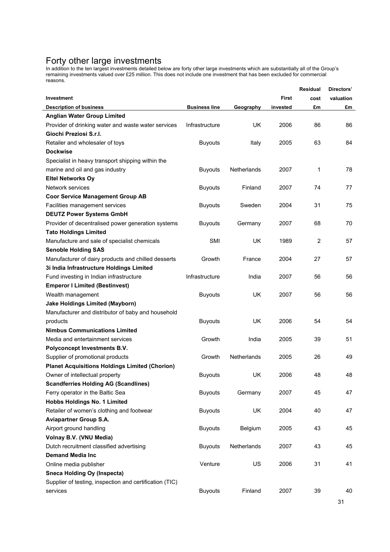### Forty other large investments

l,

In addition to the ten largest investments detailed below are forty other large investments which are substantially all of the Group's remaining investments valued over £25 million. This does not include one investment that has been excluded for commercial reasons.

|                                                         |                      |                    |              | Residual | Directors' |
|---------------------------------------------------------|----------------------|--------------------|--------------|----------|------------|
| Investment                                              |                      |                    | <b>First</b> | cost     | valuation  |
| <b>Description of business</b>                          | <b>Business line</b> | Geography          | invested     | £m       | £m         |
| <b>Anglian Water Group Limited</b>                      |                      |                    |              |          |            |
| Provider of drinking water and waste water services     | Infrastructure       | UK                 | 2006         | 86       | 86         |
| Giochi Preziosi S.r.l.                                  |                      |                    |              |          |            |
| Retailer and wholesaler of toys                         | <b>Buyouts</b>       | Italy              | 2005         | 63       | 84         |
| <b>Dockwise</b>                                         |                      |                    |              |          |            |
| Specialist in heavy transport shipping within the       |                      |                    |              |          |            |
| marine and oil and gas industry                         | <b>Buyouts</b>       | Netherlands        | 2007         | 1        | 78         |
| <b>Eltel Networks Oy</b>                                |                      |                    |              |          |            |
| Network services                                        | <b>Buyouts</b>       | Finland            | 2007         | 74       | 77         |
| <b>Coor Service Management Group AB</b>                 |                      |                    |              |          |            |
| Facilities management services                          | <b>Buyouts</b>       | Sweden             | 2004         | 31       | 75         |
| <b>DEUTZ Power Systems GmbH</b>                         |                      |                    |              |          |            |
| Provider of decentralised power generation systems      | <b>Buyouts</b>       | Germany            | 2007         | 68       | 70         |
| <b>Tato Holdings Limited</b>                            |                      |                    |              |          |            |
| Manufacture and sale of specialist chemicals            | <b>SMI</b>           | UK                 | 1989         | 2        | 57         |
| <b>Senoble Holding SAS</b>                              |                      |                    |              |          |            |
| Manufacturer of dairy products and chilled desserts     | Growth               | France             | 2004         | 27       | 57         |
| 3i India Infrastructure Holdings Limited                |                      |                    |              |          |            |
| Fund investing in Indian infrastructure                 | Infrastructure       | India              | 2007         | 56       | 56         |
| <b>Emperor I Limited (Bestinvest)</b>                   |                      |                    |              |          |            |
| Wealth management                                       | <b>Buyouts</b>       | <b>UK</b>          | 2007         | 56       | 56         |
| <b>Jake Holdings Limited (Mayborn)</b>                  |                      |                    |              |          |            |
| Manufacturer and distributor of baby and household      |                      |                    |              |          |            |
| products                                                | <b>Buyouts</b>       | <b>UK</b>          | 2006         | 54       | 54         |
| <b>Nimbus Communications Limited</b>                    |                      |                    |              |          |            |
| Media and entertainment services                        | Growth               | India              | 2005         | 39       | 51         |
| Polyconcept Investments B.V.                            |                      |                    |              |          |            |
| Supplier of promotional products                        | Growth               | <b>Netherlands</b> | 2005         | 26       | 49         |
| <b>Planet Acquisitions Holdings Limited (Chorion)</b>   |                      |                    |              |          |            |
| Owner of intellectual property                          | <b>Buyouts</b>       | UK                 | 2006         | 48       | 48         |
| <b>Scandferries Holding AG (Scandlines)</b>             |                      |                    |              |          |            |
| Ferry operator in the Baltic Sea                        | <b>Buyouts</b>       | Germany            | 2007         | 45       | 47         |
| <b>Hobbs Holdings No. 1 Limited</b>                     |                      |                    |              |          |            |
| Retailer of women's clothing and footwear               | Buyouts              | UK                 | 2004         | 40       | 47         |
| <b>Aviapartner Group S.A.</b>                           |                      |                    |              |          |            |
| Airport ground handling                                 | Buyouts              | Belgium            | 2005         | 43       | 45         |
| Volnay B.V. (VNU Media)                                 |                      |                    |              |          |            |
| Dutch recruitment classified advertising                | Buyouts              | <b>Netherlands</b> | 2007         | 43       | 45         |
| <b>Demand Media Inc</b>                                 |                      |                    |              |          |            |
| Online media publisher                                  | Venture              | US                 | 2006         | 31       | 41         |
| <b>Sneca Holding Oy (Inspecta)</b>                      |                      |                    |              |          |            |
| Supplier of testing, inspection and certification (TIC) |                      |                    |              |          |            |
| services                                                | <b>Buyouts</b>       | Finland            | 2007         | 39       | 40         |
|                                                         |                      |                    |              |          | 31         |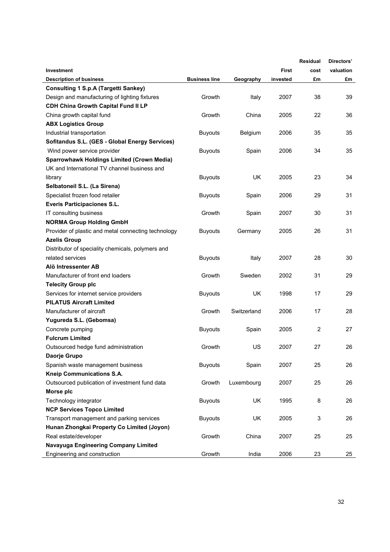|                                                     |                      |             |              | Residual       | Directors' |
|-----------------------------------------------------|----------------------|-------------|--------------|----------------|------------|
| Investment                                          |                      |             | <b>First</b> | cost           | valuation  |
| <b>Description of business</b>                      | <b>Business line</b> | Geography   | invested     | £m             | £m         |
| <b>Consulting 1 S.p.A (Targetti Sankey)</b>         |                      |             |              |                |            |
| Design and manufacturing of lighting fixtures       | Growth               | Italy       | 2007         | 38             | 39         |
| CDH China Growth Capital Fund II LP                 |                      |             |              |                |            |
| China growth capital fund                           | Growth               | China       | 2005         | 22             | 36         |
| <b>ABX Logistics Group</b>                          |                      |             |              |                |            |
| Industrial transportation                           | Buyouts              | Belgium     | 2006         | 35             | 35         |
| Sofitandus S.L. (GES - Global Energy Services)      |                      |             |              |                |            |
| Wind power service provider                         | <b>Buyouts</b>       | Spain       | 2006         | 34             | 35         |
| Sparrowhawk Holdings Limited (Crown Media)          |                      |             |              |                |            |
| UK and International TV channel business and        |                      |             |              |                |            |
| library                                             | <b>Buyouts</b>       | UK          | 2005         | 23             | 34         |
| Selbatoneil S.L. (La Sirena)                        |                      |             |              |                |            |
| Specialist frozen food retailer                     | Buyouts              | Spain       | 2006         | 29             | 31         |
| <b>Everis Participaciones S.L.</b>                  |                      |             |              |                |            |
| IT consulting business                              | Growth               | Spain       | 2007         | 30             | 31         |
| <b>NORMA Group Holding GmbH</b>                     |                      |             |              |                |            |
| Provider of plastic and metal connecting technology | Buyouts              | Germany     | 2005         | 26             | 31         |
| <b>Azelis Group</b>                                 |                      |             |              |                |            |
| Distributor of speciality chemicals, polymers and   |                      |             |              |                |            |
| related services                                    | Buyouts              | Italy       | 2007         | 28             | 30         |
| Alö Intressenter AB                                 |                      |             |              |                |            |
| Manufacturer of front end loaders                   | Growth               | Sweden      | 2002         | 31             | 29         |
| <b>Telecity Group plc</b>                           |                      |             |              |                |            |
| Services for internet service providers             | Buyouts              | UK          | 1998         | 17             | 29         |
| <b>PILATUS Aircraft Limited</b>                     |                      |             |              |                |            |
| Manufacturer of aircraft                            | Growth               | Switzerland | 2006         | 17             | 28         |
| Yugureda S.L. (Gebomsa)                             |                      |             |              |                |            |
| Concrete pumping                                    | <b>Buyouts</b>       | Spain       | 2005         | $\overline{2}$ | 27         |
| <b>Fulcrum Limited</b>                              |                      |             |              |                |            |
| Outsourced hedge fund administration                | Growth               | US          | 2007         | 27             | 26         |
| Daorje Grupo                                        |                      |             |              |                |            |
| Spanish waste management business                   | <b>Buyouts</b>       | Spain       | 2007         | 25             | 26         |
| Kneip Communications S.A.                           |                      |             |              |                |            |
| Outsourced publication of investment fund data      | Growth               | Luxembourg  | 2007         | 25             | 26         |
| Morse plc                                           |                      |             |              |                |            |
| Technology integrator                               | <b>Buyouts</b>       | UK          | 1995         | 8              | 26         |
| <b>NCP Services Topco Limited</b>                   |                      |             |              |                |            |
| Transport management and parking services           | <b>Buyouts</b>       | UK          | 2005         | 3              | 26         |
| Hunan Zhongkai Property Co Limited (Joyon)          |                      |             |              |                |            |
| Real estate/developer                               | Growth               | China       | 2007         | 25             | 25         |
| Navayuga Engineering Company Limited                |                      |             |              |                |            |
| Engineering and construction                        | Growth               | India       | 2006         | 23             | 25         |